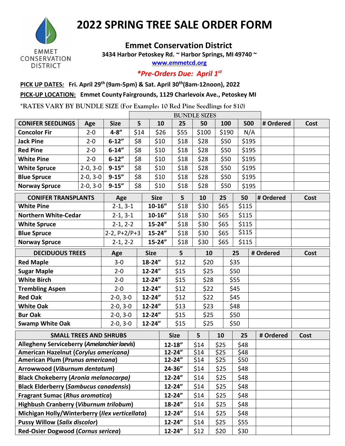

## **2022 SPRING TREE SALE ORDER FORM**

## **Emmet Conservation District**

**3434 Harbor Petoskey Rd. ~ Harbor Springs, MI 49740 ~** 

**[www.emmetcd.org](http://www.emmetcd.org/)**

*\*Pre-Orders Due: April 1st*

## **PICK UP DATES***:* **Fri. April 29th (9am-5pm) & Sat. April 30th(8am-12noon), 2022 PICK-UP LOCATION: Emmet County Fairgrounds, 1129 Charlevoix Ave., Petoskey MI**

**\*RATES VARY BY BUNDLE SIZE (For Example: 10 Red Pine Seedlings for \$10)**

|                                                |            |                | <b>BUNDLE SIZES</b> |             |            |             |       |      |       |           |      |           |      |
|------------------------------------------------|------------|----------------|---------------------|-------------|------------|-------------|-------|------|-------|-----------|------|-----------|------|
| <b>CONIFER SEEDLINGS</b>                       | Age        | <b>Size</b>    | 5                   |             | 10         | 25          | 50    |      | 100   | 500       |      | # Ordered | Cost |
| <b>Concolor Fir</b>                            | $2 - 0$    | $4 - 8''$      | \$14                |             | \$26       | \$55        | \$100 |      | \$190 | N/A       |      |           |      |
| <b>Jack Pine</b>                               | $2 - 0$    | $6 - 12"$      | \$8                 | \$10        |            | \$18        | \$28  |      | \$50  | \$195     |      |           |      |
| <b>Red Pine</b>                                | $2 - 0$    | $6 - 14"$      | \$8                 | \$10        |            | \$18        | \$28  |      | \$50  | \$195     |      |           |      |
| <b>White Pine</b>                              | $2 - 0$    | $6 - 12"$      | \$8                 | \$10        |            | \$18        | \$28  |      | \$50  | \$195     |      |           |      |
| <b>White Spruce</b>                            | $2-0, 3-0$ | $9 - 15''$     | \$8                 | \$10        |            | \$18        | \$28  |      | \$50  | \$195     |      |           |      |
| <b>Blue Spruce</b>                             | $2-0, 3-0$ | $9 - 15''$     | \$8                 | \$10        |            | \$18        | \$28  |      | \$50  | \$195     |      |           |      |
| <b>Norway Spruce</b>                           | $2-0, 3-0$ | $9 - 15''$     | \$8                 | \$10        |            | \$18        | \$28  |      | \$50  | \$195     |      |           |      |
| <b>CONIFER TRANSPLANTS</b>                     |            | Age            |                     | <b>Size</b> |            | 5           | 10    |      | 25    | 50        |      | # Ordered | Cost |
| <b>White Pine</b>                              |            | $2-1, 3-1$     | $10 - 16"$          |             |            | \$18        | \$30  |      | \$65  | \$115     |      |           |      |
| <b>Northern White-Cedar</b>                    |            | $2-1, 3-1$     | $10 - 16"$          |             |            | \$18        | \$30  |      | \$65  | \$115     |      |           |      |
| <b>White Spruce</b>                            |            | $2-1, 2-2$     |                     | $15 - 24"$  |            | \$18        | \$30  |      | \$65  | \$115     |      |           |      |
| <b>Blue Spruce</b>                             |            | $2-2, P+2/P+3$ |                     | $15 - 24"$  |            | \$18        | \$30  |      | \$65  | \$115     |      |           |      |
| <b>Norway Spruce</b>                           |            | $2-1, 2-2$     |                     | $15 - 24"$  |            | \$18        | \$30  |      | \$65  | \$115     |      |           |      |
| <b>DECIDUOUS TREES</b><br><b>Size</b><br>Age   |            |                |                     | 5           | 10         |             |       | 25   |       | # Ordered | Cost |           |      |
| <b>Red Maple</b>                               |            | $3 - 0$        |                     | 18-24"      |            | \$12        |       | \$20 |       | \$35      |      |           |      |
| <b>Sugar Maple</b>                             |            | $2 - 0$        |                     | $12 - 24"$  |            | \$15        |       | \$25 |       | \$50      |      |           |      |
| <b>White Birch</b>                             |            | $2 - 0$        |                     | 12-24"      |            | \$15        |       | \$28 |       | \$55      |      |           |      |
| <b>Trembling Aspen</b>                         |            | $2 - 0$        |                     | 12-24"      |            | \$12        |       | \$22 |       | \$45      |      |           |      |
| <b>Red Oak</b>                                 |            | $2-0, 3-0$     |                     | 12-24"      |            | \$12        |       | \$22 |       | \$45      |      |           |      |
| <b>White Oak</b>                               |            | $2-0, 3-0$     | 12-24"              |             |            | \$13        |       | \$23 |       | \$48      |      |           |      |
| <b>Bur Oak</b>                                 |            | $2-0, 3-0$     | 12-24"              |             |            | \$15        |       | \$25 |       | \$50      |      |           |      |
| <b>Swamp White Oak</b>                         |            | $2-0, 3-0$     | 12-24"              |             |            | \$15        |       | \$25 |       | \$50      |      |           |      |
| <b>SMALL TREES AND SHRUBS</b>                  |            |                |                     |             |            | <b>Size</b> | 5     |      | 10    | 25        |      | # Ordered | Cost |
| Allegheny Serviceberry (Amelanchier laevis)    |            |                |                     |             |            | $12 - 18"$  | \$14  |      | \$25  | \$48      |      |           |      |
| American Hazelnut (Corylus americana)          |            |                |                     |             |            | 12-24"      | \$14  |      | \$25  | \$48      |      |           |      |
| American Plum (Prunus americana)               |            |                |                     |             |            | 12-24"      | \$14  |      | \$25  | \$50      |      |           |      |
| Arrowwood (Viburnum dentatum)                  |            |                |                     |             | $24 - 36"$ | \$14        |       | \$25 | \$48  |           |      |           |      |
| <b>Black Chokeberry (Aronia melanocarpa)</b>   |            |                |                     |             | 12-24"     | \$14        |       | \$25 | \$48  |           |      |           |      |
| <b>Black Elderberry (Sambucus canadensis)</b>  |            |                |                     |             |            | 12-24"      | \$14  |      | \$25  | \$48      |      |           |      |
| <b>Fragrant Sumac (Rhus aromatica)</b>         |            |                |                     |             | 12-24"     | \$14        |       | \$25 | \$48  |           |      |           |      |
| <b>Highbush Cranberry (Viburnum trilobum)</b>  |            |                |                     |             |            | 18-24"      | \$14  |      | \$25  | \$48      |      |           |      |
| Michigan Holly/Winterberry (Ilex verticellata) |            |                |                     |             | 12-24"     | \$14        |       | \$25 | \$48  |           |      |           |      |
| <b>Pussy Willow (Salix discolor)</b>           |            |                |                     |             | 12-24"     | \$14        |       | \$25 | \$55  |           |      |           |      |
| Red-Osier Dogwood (Cornus sericea)             |            |                |                     |             | $12 - 24"$ | \$12        |       | \$20 | \$30  |           |      |           |      |